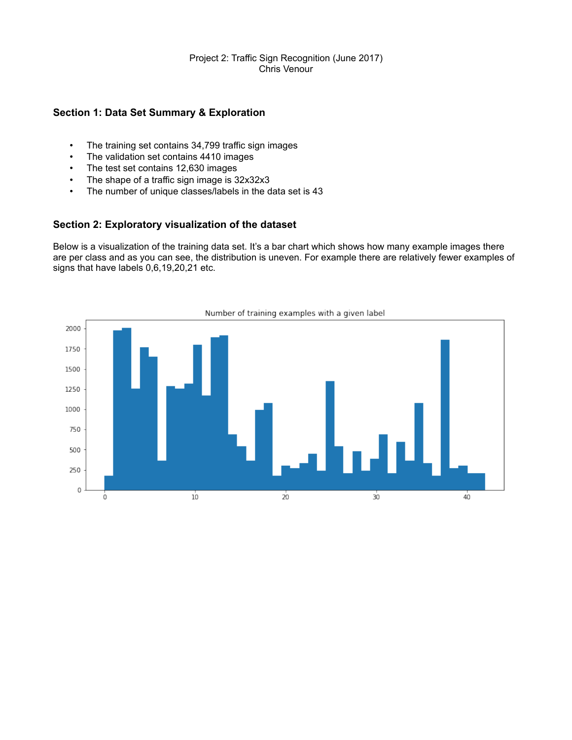### Project 2: Traffic Sign Recognition (June 2017) Chris Venour

# **Section 1: Data Set Summary & Exploration**

- The training set contains 34,799 traffic sign images
- The validation set contains 4410 images
- The test set contains 12,630 images<br>• The shape of a traffic sign image is 3
- The shape of a traffic sign image is 32x32x3
- The number of unique classes/labels in the data set is 43

## **Section 2: Exploratory visualization of the dataset**

Below is a visualization of the training data set. It's a bar chart which shows how many example images there are per class and as you can see, the distribution is uneven. For example there are relatively fewer examples of signs that have labels 0,6,19,20,21 etc.

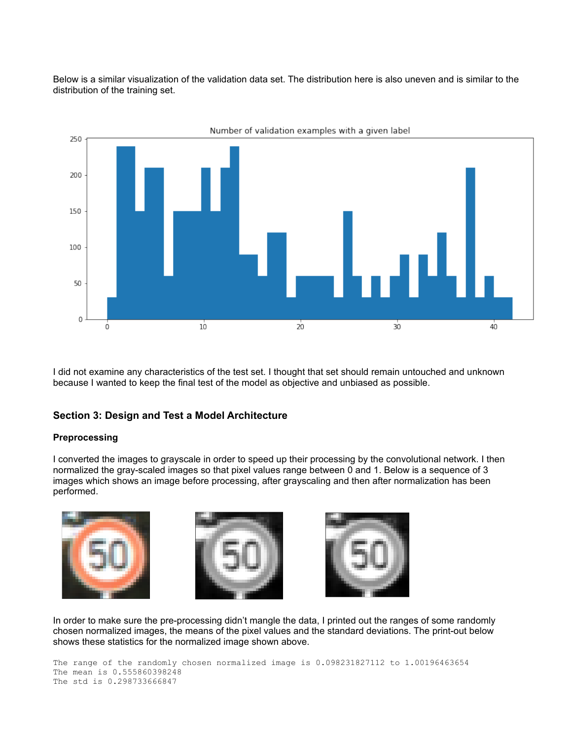Below is a similar visualization of the validation data set. The distribution here is also uneven and is similar to the distribution of the training set.



I did not examine any characteristics of the test set. I thought that set should remain untouched and unknown because I wanted to keep the final test of the model as objective and unbiased as possible.

## **Section 3: Design and Test a Model Architecture**

### **Preprocessing**

I converted the images to grayscale in order to speed up their processing by the convolutional network. I then normalized the gray-scaled images so that pixel values range between 0 and 1. Below is a sequence of 3 images which shows an image before processing, after grayscaling and then after normalization has been performed.



In order to make sure the pre-processing didn't mangle the data, I printed out the ranges of some randomly chosen normalized images, the means of the pixel values and the standard deviations. The print-out below shows these statistics for the normalized image shown above.

```
The range of the randomly chosen normalized image is 0.098231827112 to 1.00196463654
The mean is 0.555860398248
The std is 0.298733666847
```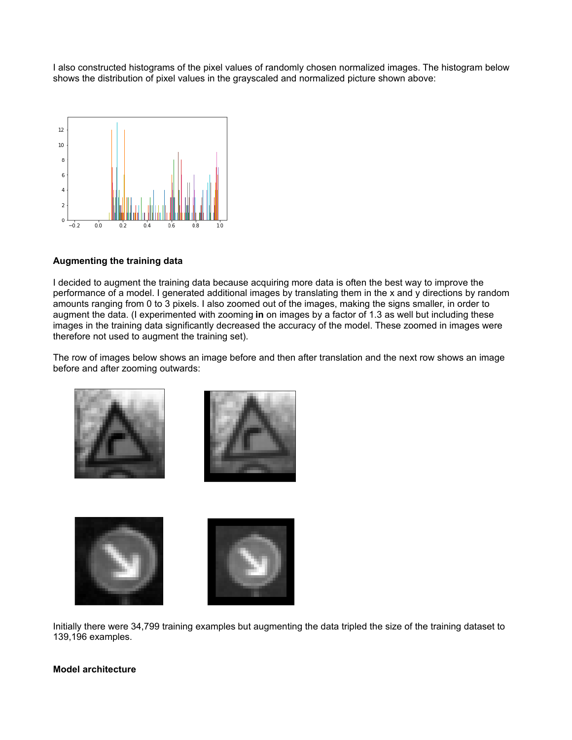I also constructed histograms of the pixel values of randomly chosen normalized images. The histogram below shows the distribution of pixel values in the grayscaled and normalized picture shown above:



### **Augmenting the training data**

I decided to augment the training data because acquiring more data is often the best way to improve the performance of a model. I generated additional images by translating them in the x and y directions by random amounts ranging from 0 to 3 pixels. I also zoomed out of the images, making the signs smaller, in order to augment the data. (I experimented with zooming **in** on images by a factor of 1.3 as well but including these images in the training data significantly decreased the accuracy of the model. These zoomed in images were therefore not used to augment the training set).

The row of images below shows an image before and then after translation and the next row shows an image before and after zooming outwards:



Initially there were 34,799 training examples but augmenting the data tripled the size of the training dataset to 139,196 examples.

### **Model architecture**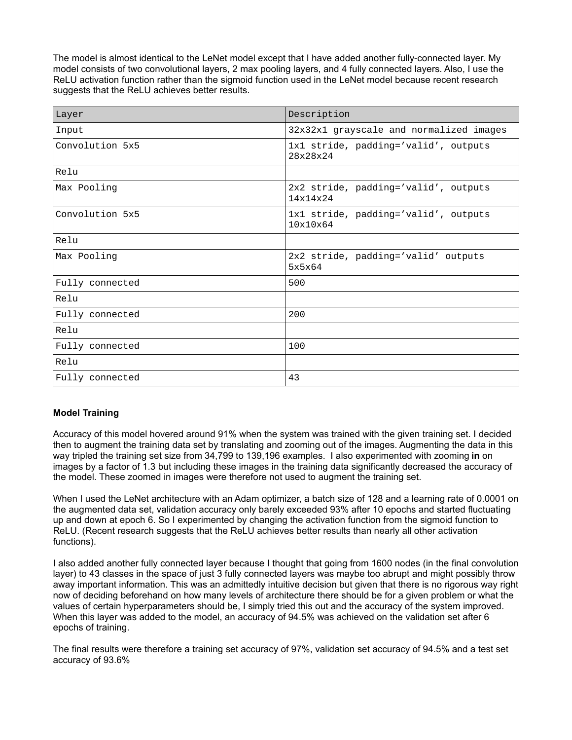The model is almost identical to the LeNet model except that I have added another fully-connected layer. My model consists of two convolutional layers, 2 max pooling layers, and 4 fully connected layers. Also, I use the ReLU activation function rather than the sigmoid function used in the LeNet model because recent research suggests that the ReLU achieves better results.

| Layer           | Description                                      |
|-----------------|--------------------------------------------------|
| Input           | 32x32x1 grayscale and normalized images          |
| Convolution 5x5 | 1x1 stride, padding='valid', outputs<br>28x28x24 |
| Relu            |                                                  |
| Max Pooling     | 2x2 stride, padding='valid', outputs<br>14x14x24 |
| Convolution 5x5 | 1x1 stride, padding='valid', outputs<br>10x10x64 |
| Relu            |                                                  |
| Max Pooling     | 2x2 stride, padding='valid' outputs<br>5x5x64    |
| Fully connected | 500                                              |
| Relu            |                                                  |
| Fully connected | 200                                              |
| Relu            |                                                  |
| Fully connected | 100                                              |
| Relu            |                                                  |
| Fully connected | 43                                               |

## **Model Training**

Accuracy of this model hovered around 91% when the system was trained with the given training set. I decided then to augment the training data set by translating and zooming out of the images. Augmenting the data in this way tripled the training set size from 34,799 to 139,196 examples. I also experimented with zooming **in** on images by a factor of 1.3 but including these images in the training data significantly decreased the accuracy of the model. These zoomed in images were therefore not used to augment the training set.

When I used the LeNet architecture with an Adam optimizer, a batch size of 128 and a learning rate of 0.0001 on the augmented data set, validation accuracy only barely exceeded 93% after 10 epochs and started fluctuating up and down at epoch 6. So I experimented by changing the activation function from the sigmoid function to ReLU. (Recent research suggests that the ReLU achieves better results than nearly all other activation functions).

I also added another fully connected layer because I thought that going from 1600 nodes (in the final convolution layer) to 43 classes in the space of just 3 fully connected layers was maybe too abrupt and might possibly throw away important information. This was an admittedly intuitive decision but given that there is no rigorous way right now of deciding beforehand on how many levels of architecture there should be for a given problem or what the values of certain hyperparameters should be, I simply tried this out and the accuracy of the system improved. When this layer was added to the model, an accuracy of 94.5% was achieved on the validation set after 6 epochs of training.

The final results were therefore a training set accuracy of 97%, validation set accuracy of 94.5% and a test set accuracy of 93.6%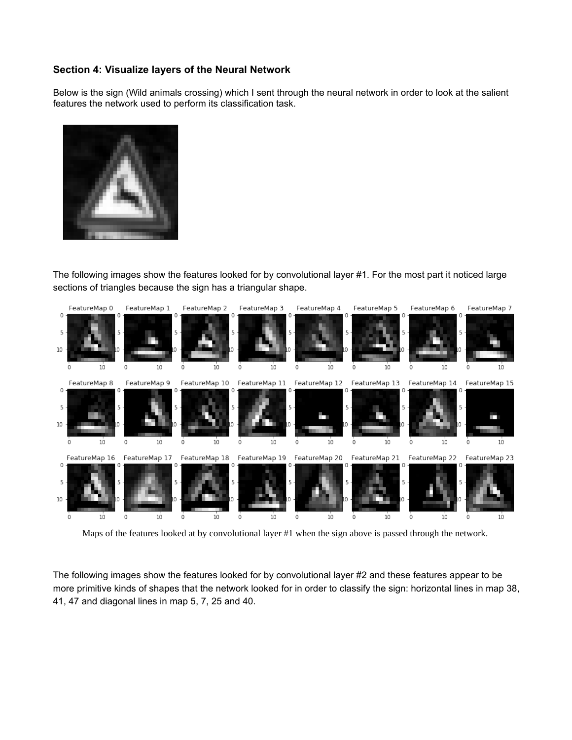# **Section 4: Visualize layers of the Neural Network**

Below is the sign (Wild animals crossing) which I sent through the neural network in order to look at the salient features the network used to perform its classification task.



The following images show the features looked for by convolutional layer #1. For the most part it noticed large sections of triangles because the sign has a triangular shape.



Maps of the features looked at by convolutional layer #1 when the sign above is passed through the network.

The following images show the features looked for by convolutional layer #2 and these features appear to be more primitive kinds of shapes that the network looked for in order to classify the sign: horizontal lines in map 38, 41, 47 and diagonal lines in map 5, 7, 25 and 40.